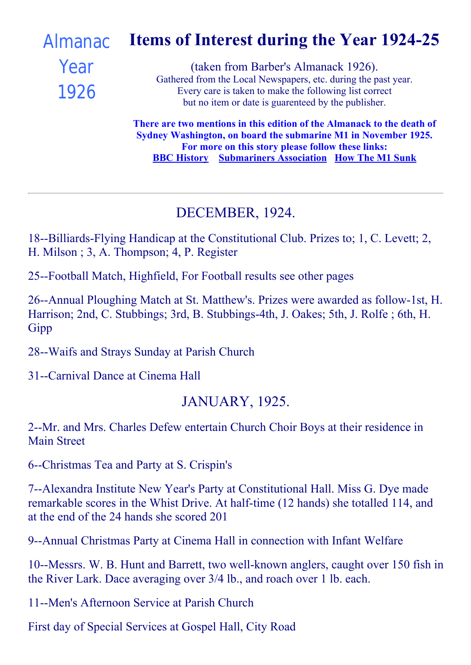#### Items of Interest during the Year 1924-25 [Almanac](file:///C:/FrontPage%20Webs/Content/images/almanack/advert1926.jpg)

# **Year** 1926

(taken from Barber's Almanack 1926). Gathered from the Local Newspapers, etc. during the past year. Every care is taken to make the following list correct but no item or date is guarenteed by the publisher.

There are two mentions in this edition of the Almanack to the death of Sydney Washington, on board the submarine M1 in November 1925. For more on this story please follow these links: **BBC [History](http://www.bbc.co.uk/history/archaeology/marine_wreck6.shtml)** [Submariners](http://www.submariners.co.uk/Miscellany/Articles/m1.htm) Association How The M1 [Sunk](http://4.33.40.118/misc/mkclass2.htm)

#### DECEMBER, 1924.

18--Billiards-Flying Handicap at the Constitutional Club. Prizes to; 1, C. Levett; 2, H. Milson ; 3, A. Thompson; 4, P. Register

25-Football Match, Highfield, For Football results see other pages

26--Annual Ploughing Match at St. Matthew's. Prizes were awarded as follow-1st, H. Harrison; 2nd, C. Stubbings; 3rd, B. Stubbings-4th, J. Oakes; 5th, J. Rolfe ; 6th, H. Gipp

28--Waifs and Strays Sunday at Parish Church

31--Carnival Dance at Cinema Hall

#### JANUARY, 1925.

2--Mr. and Mrs. Charles Defew entertain Church Choir Boys at their residence in Main Street

6--Christmas Tea and Party at S. Crispin's

7--Alexandra Institute New Year's Party at Constitutional Hall. Miss G. Dye made remarkable scores in the Whist Drive. At half-time (12 hands) she totalled 114, and at the end of the 24 hands she scored 201

9--Annual Christmas Party at Cinema Hall in connection with Infant Welfare

10--Messrs. W. B. Hunt and Barrett, two well-known anglers, caught over 150 fish in the River Lark. Dace averaging over 3/4 lb., and roach over 1 lb. each.

11--Men's Afternoon Service at Parish Church

First day of Special Services at Gospel Hall, City Road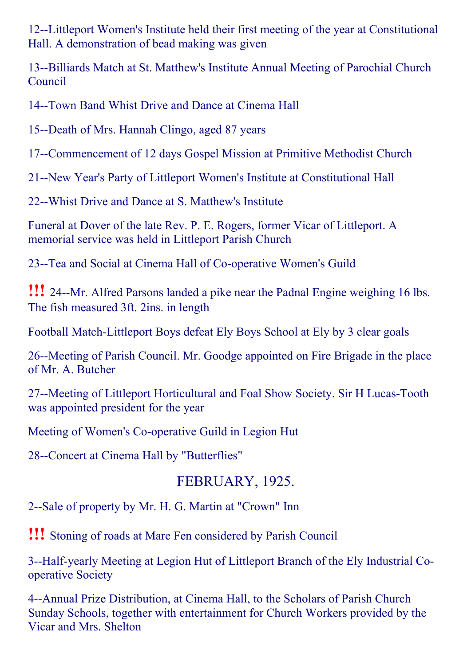12--Littleport Women's Institute held their first meeting of the year at Constitutional Hall. A demonstration of bead making was given

13--Billiards Match at St. Matthew's Institute Annual Meeting of Parochial Church Council

14--Town Band Whist Drive and Dance at Cinema Hall

15--Death of Mrs. Hannah Clingo, aged 87 years

17--Commencement of 12 days Gospel Mission at Primitive Methodist Church

21--New Year's Party of Littleport Women's Institute at Constitutional Hall

22--Whist Drive and Dance at S. Matthew's Institute

Funeral at Dover of the late Rev. P. E. Rogers, former Vicar of Littleport. A memorial service was held in Littleport Parish Church

23--Tea and Social at Cinema Hall of Co-operative Women's Guild

**!!!** 24--Mr. Alfred Parsons landed a pike near the Padnal Engine weighing 16 lbs. The fish measured 3ft. 2ins. in length

Football Match-Littleport Boys defeat Ely Boys School at Ely by 3 clear goals

26--Meeting of Parish Council. Mr. Goodge appointed on Fire Brigade in the place of Mr. A. Butcher

27--Meeting of Littleport Horticultural and Foal Show Society. Sir H Lucas-Tooth was appointed president for the year

Meeting of Women's Co-operative Guild in Legion Hut

28--Concert at Cinema Hall by "Butterflies"

# FEBRUARY, 1925.

2--Sale of property by Mr. H. G. Martin at "Crown" Inn

!!! Stoning of roads at Mare Fen considered by Parish Council

3--Half-yearly Meeting at Legion Hut of Littleport Branch of the Ely Industrial Cooperative Society

4--Annual Prize Distribution, at Cinema Hall, to the Scholars of Parish Church Sunday Schools, together with entertainment for Church Workers provided by the Vicar and Mrs. Shelton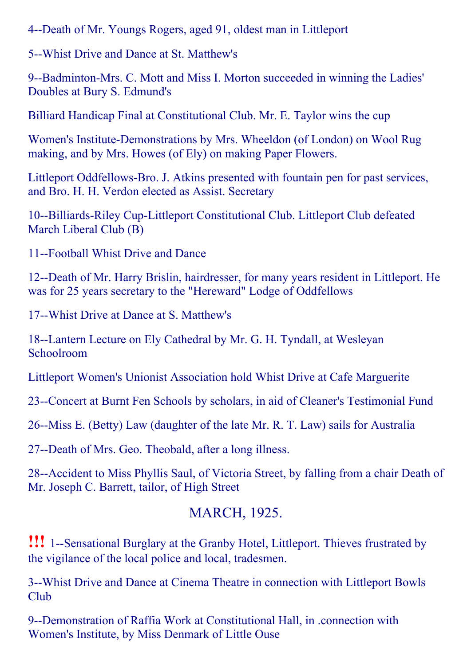4--Death of Mr. Youngs Rogers, aged 91, oldest man in Littleport

5--Whist Drive and Dance at St. Matthew's

9--Badminton-Mrs. C. Mott and Miss I. Morton succeeded in winning the Ladies' Doubles at Bury S. Edmund's

Billiard Handicap Final at Constitutional Club. Mr. E. Taylor wins the cup

Women's Institute-Demonstrations by Mrs. Wheeldon (of London) on Wool Rug making, and by Mrs. Howes (of Ely) on making Paper Flowers.

Littleport Oddfellows-Bro. J. Atkins presented with fountain pen for past services, and Bro. H. H. Verdon elected as Assist. Secretary

10--Billiards-Riley Cup-Littleport Constitutional Club. Littleport Club defeated March Liberal Club (B)

11--Football Whist Drive and Dance

12--Death of Mr. Harry Brislin, hairdresser, for many years resident in Littleport. He was for 25 years secretary to the "Hereward" Lodge of Oddfellows

17--Whist Drive at Dance at S. Matthew's

18--Lantern Lecture on Ely Cathedral by Mr. G. H. Tyndall, at Wesleyan Schoolroom

Littleport Women's Unionist Association hold Whist Drive at Cafe Marguerite

23--Concert at Burnt Fen Schools by scholars, in aid of Cleaner's Testimonial Fund

26--Miss E. (Betty) Law (daughter of the late Mr. R. T. Law) sails for Australia

27--Death of Mrs. Geo. Theobald, after a long illness.

28--Accident to Miss Phyllis Saul, of Victoria Street, by falling from a chair Death of Mr. Joseph C. Barrett, tailor, of High Street

#### MARCH, 1925.

**!!!** 1--Sensational Burglary at the Granby Hotel, Littleport. Thieves frustrated by the vigilance of the local police and local, tradesmen.

3--Whist Drive and Dance at Cinema Theatre in connection with Littleport Bowls Club

9--Demonstration of Raffia Work at Constitutional Hall, in .connection with Women's Institute, by Miss Denmark of Little Ouse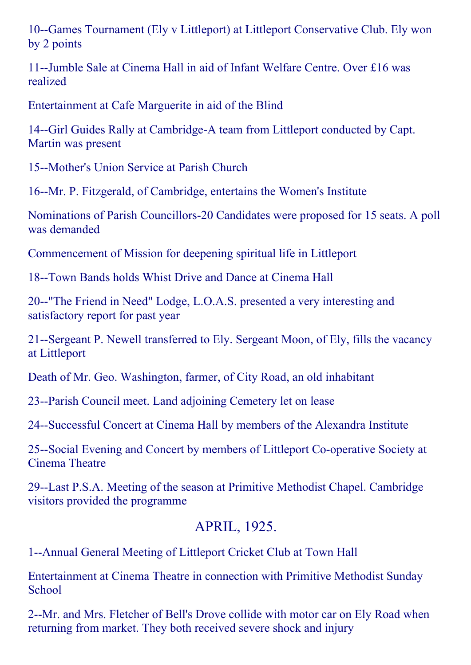10--Games Tournament (Ely v Littleport) at Littleport Conservative Club. Ely won by 2 points

11--Jumble Sale at Cinema Hall in aid of Infant Welfare Centre. Over £16 was realized

Entertainment at Cafe Marguerite in aid of the Blind

14--Girl Guides Rally at Cambridge-A team from Littleport conducted by Capt. Martin was present

15--Mother's Union Service at Parish Church

16--Mr. P. Fitzgerald, of Cambridge, entertains the Women's Institute

Nominations of Parish Councillors-20 Candidates were proposed for 15 seats. A poll was demanded

Commencement of Mission for deepening spiritual life in Littleport

18--Town Bands holds Whist Drive and Dance at Cinema Hall

20--"The Friend in Need" Lodge, L.O.A.S. presented a very interesting and satisfactory report for past year

21--Sergeant P. Newell transferred to Ely. Sergeant Moon, of Ely, fills the vacancy at Littleport

Death of Mr. Geo. Washington, farmer, of City Road, an old inhabitant

23--Parish Council meet. Land adjoining Cemetery let on lease

24--Successful Concert at Cinema Hall by members of the Alexandra Institute

25-Social Evening and Concert by members of Littleport Co-operative Society at Cinema Theatre

29--Last P.S.A. Meeting of the season at Primitive Methodist Chapel. Cambridge visitors provided the programme

# APRIL, 1925.

1--Annual General Meeting of Littleport Cricket Club at Town Hall

Entertainment at Cinema Theatre in connection with Primitive Methodist Sunday **School** 

2--Mr. and Mrs. Fletcher of Bell's Drove collide with motor car on Ely Road when returning from market. They both received severe shock and injury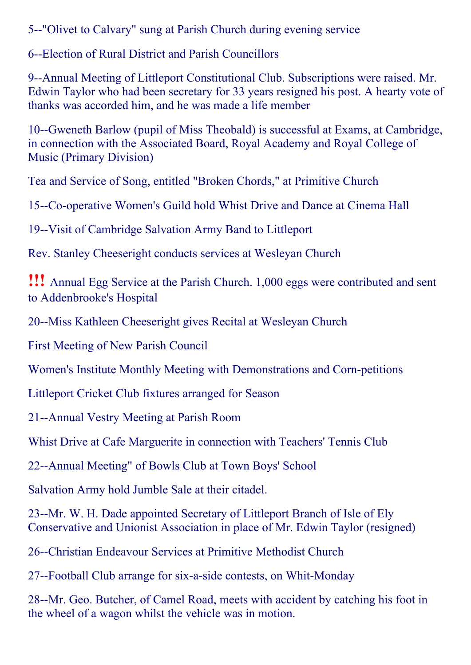5--"Olivet to Calvary" sung at Parish Church during evening service

6--Election of Rural District and Parish Councillors

9--Annual Meeting of Littleport Constitutional Club. Subscriptions were raised. Mr. Edwin Taylor who had been secretary for 33 years resigned his post. A hearty vote of thanks was accorded him, and he was made a life member

10--Gweneth Barlow (pupil of Miss Theobald) is successful at Exams, at Cambridge, in connection with the Associated Board, Royal Academy and Royal College of Music (Primary Division)

Tea and Service of Song, entitled "Broken Chords," at Primitive Church

15--Co-operative Women's Guild hold Whist Drive and Dance at Cinema Hall

19--Visit of Cambridge Salvation Army Band to Littleport

Rev. Stanley Cheeseright conducts services at Wesleyan Church

!!! Annual Egg Service at the Parish Church. 1,000 eggs were contributed and sent to Addenbrooke's Hospital

20--Miss Kathleen Cheeseright gives Recital at Wesleyan Church

First Meeting of New Parish Council

Women's Institute Monthly Meeting with Demonstrations and Corn-petitions

Littleport Cricket Club fixtures arranged for Season

21--Annual Vestry Meeting at Parish Room

Whist Drive at Cafe Marguerite in connection with Teachers' Tennis Club

22--Annual Meeting" of Bowls Club at Town Boys' School

Salvation Army hold Jumble Sale at their citadel.

23--Mr. W. H. Dade appointed Secretary of Littleport Branch of Isle of Ely Conservative and Unionist Association in place of Mr. Edwin Taylor (resigned)

26--Christian Endeavour Services at Primitive Methodist Church

27-Football Club arrange for six-a-side contests, on Whit-Monday

28--Mr. Geo. Butcher, of Camel Road, meets with accident by catching his foot in the wheel of a wagon whilst the vehicle was in motion.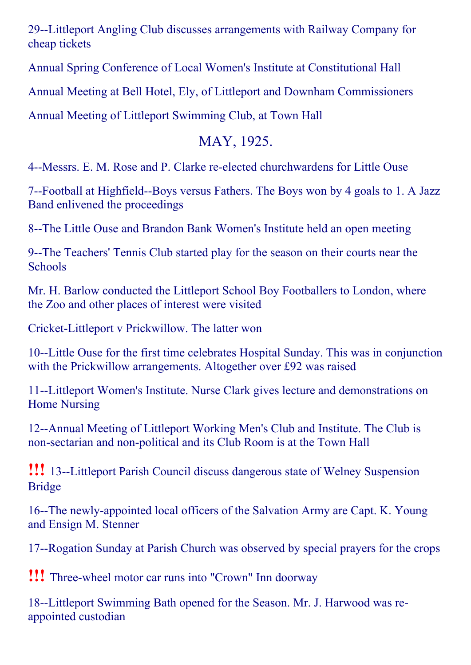29--Littleport Angling Club discusses arrangements with Railway Company for cheap tickets

Annual Spring Conference of Local Women's Institute at Constitutional Hall

Annual Meeting at Bell Hotel, Ely, of Littleport and Downham Commissioners

Annual Meeting of Littleport Swimming Club, at Town Hall

## MAY, 1925.

4--Messrs. E. M. Rose and P. Clarke re-elected churchwardens for Little Ouse

7--Football at Highfield--Boys versus Fathers. The Boys won by 4 goals to 1. A Jazz Band enlivened the proceedings

8--The Little Ouse and Brandon Bank Women's Institute held an open meeting

9--The Teachers' Tennis Club started play for the season on their courts near the **Schools** 

Mr. H. Barlow conducted the Littleport School Boy Footballers to London, where the Zoo and other places of interest were visited

Cricket-Littleport v Prickwillow. The latter won

10--Little Ouse for the first time celebrates Hospital Sunday. This was in conjunction with the Prickwillow arrangements. Altogether over £92 was raised

11--Littleport Women's Institute. Nurse Clark gives lecture and demonstrations on Home Nursing

12--Annual Meeting of Littleport Working Men's Club and Institute. The Club is non-sectarian and non-political and its Club Room is at the Town Hall

**!!!** 13--Littleport Parish Council discuss dangerous state of Welney Suspension Bridge

16--The newly-appointed local officers of the Salvation Army are Capt. K. Young and Ensign M. Stenner

17--Rogation Sunday at Parish Church was observed by special prayers for the crops

!!! Threewheel motor car runs into "Crown" Inn doorway

18--Littleport Swimming Bath opened for the Season. Mr. J. Harwood was reappointed custodian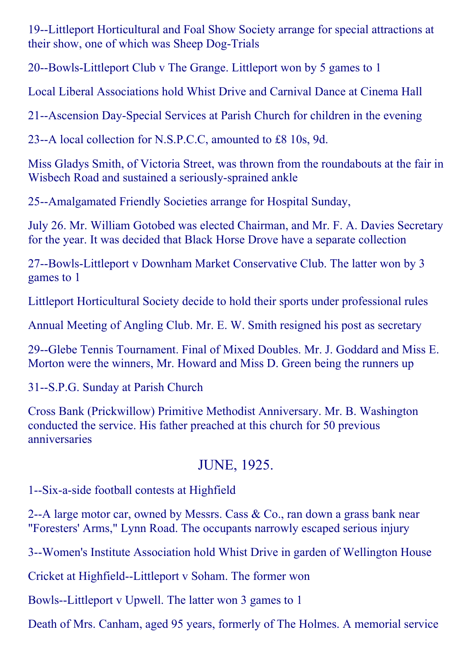19--Littleport Horticultural and Foal Show Society arrange for special attractions at their show, one of which was Sheep Dog-Trials

20--Bowls-Littleport Club v The Grange. Littleport won by 5 games to 1

Local Liberal Associations hold Whist Drive and Carnival Dance at Cinema Hall

21--Ascension Day-Special Services at Parish Church for children in the evening

23--A local collection for N.S.P.C.C, amounted to £8 10s, 9d.

Miss Gladys Smith, of Victoria Street, was thrown from the roundabouts at the fair in Wisbech Road and sustained a seriously-sprained ankle

25--Amalgamated Friendly Societies arrange for Hospital Sunday,

July 26. Mr. William Gotobed was elected Chairman, and Mr. F. A. Davies Secretary for the year. It was decided that Black Horse Drove have a separate collection

27--Bowls-Littleport v Downham Market Conservative Club. The latter won by 3 games to 1

Littleport Horticultural Society decide to hold their sports under professional rules

Annual Meeting of Angling Club. Mr. E. W. Smith resigned his post as secretary

29--Glebe Tennis Tournament. Final of Mixed Doubles. Mr. J. Goddard and Miss E. Morton were the winners, Mr. Howard and Miss D. Green being the runners up

31--S.P.G. Sunday at Parish Church

Cross Bank (Prickwillow) Primitive Methodist Anniversary. Mr. B. Washington conducted the service. His father preached at this church for 50 previous anniversaries

# JUNE, 1925.

1--Six-a-side football contests at Highfield

2--A large motor car, owned by Messrs. Cass  $& Co.,$  ran down a grass bank near "Foresters' Arms," Lynn Road. The occupants narrowly escaped serious injury

3--Women's Institute Association hold Whist Drive in garden of Wellington House

Cricket at Highfield--Littleport v Soham. The former won

Bowls--Littleport v Upwell. The latter won 3 games to 1

Death of Mrs. Canham, aged 95 years, formerly of The Holmes. A memorial service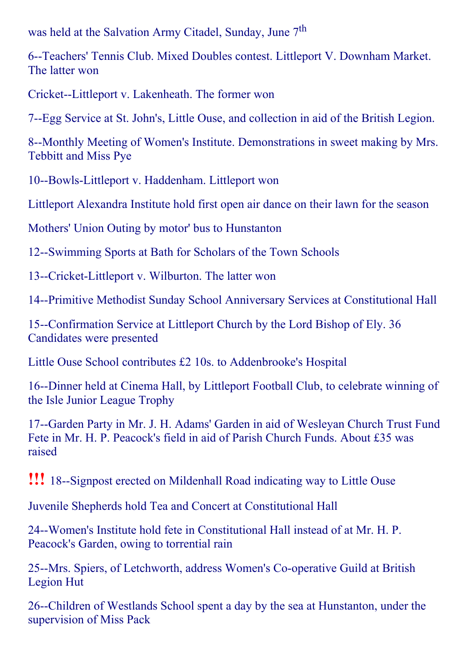was held at the Salvation Army Citadel, Sunday, June 7<sup>th</sup>

6--Teachers' Tennis Club. Mixed Doubles contest. Littleport V. Downham Market. The latter won

Cricket--Littleport v. Lakenheath. The former won

7Egg Service at St. John's, Little Ouse, and collection in aid of the British Legion.

8--Monthly Meeting of Women's Institute. Demonstrations in sweet making by Mrs. Tebbitt and Miss Pye

10--Bowls-Littleport v. Haddenham. Littleport won

Littleport Alexandra Institute hold first open air dance on their lawn for the season

Mothers' Union Outing by motor' bus to Hunstanton

12--Swimming Sports at Bath for Scholars of the Town Schools

13--Cricket-Littleport v. Wilburton. The latter won

14--Primitive Methodist Sunday School Anniversary Services at Constitutional Hall

15--Confirmation Service at Littleport Church by the Lord Bishop of Ely. 36 Candidates were presented

Little Ouse School contributes £2 10s. to Addenbrooke's Hospital

16--Dinner held at Cinema Hall, by Littleport Football Club, to celebrate winning of the Isle Junior League Trophy

17--Garden Party in Mr. J. H. Adams' Garden in aid of Wesleyan Church Trust Fund Fete in Mr. H. P. Peacock's field in aid of Parish Church Funds. About £35 was raised

**!!!** 18--Signpost erected on Mildenhall Road indicating way to Little Ouse

Juvenile Shepherds hold Tea and Concert at Constitutional Hall

24--Women's Institute hold fete in Constitutional Hall instead of at Mr. H. P. Peacock's Garden, owing to torrential rain

25--Mrs. Spiers, of Letchworth, address Women's Co-operative Guild at British Legion Hut

26--Children of Westlands School spent a day by the sea at Hunstanton, under the supervision of Miss Pack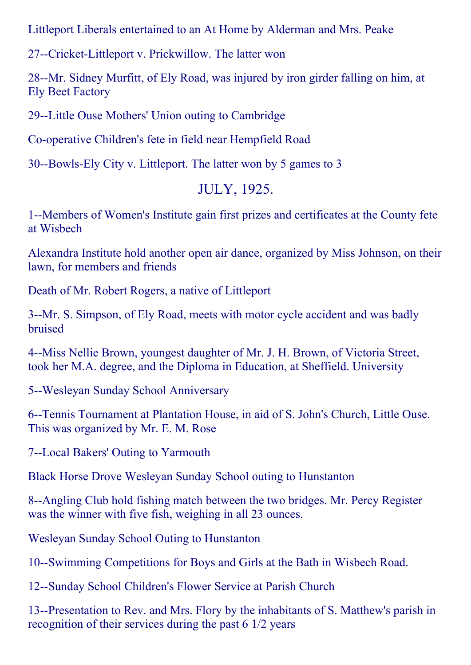Littleport Liberals entertained to an At Home by Alderman and Mrs. Peake

27--Cricket-Littleport v. Prickwillow. The latter won

28--Mr. Sidney Murfitt, of Ely Road, was injured by iron girder falling on him, at Ely Beet Factory

29--Little Ouse Mothers' Union outing to Cambridge

Co-operative Children's fete in field near Hempfield Road

30--Bowls-Ely City v. Littleport. The latter won by 5 games to 3

# JULY, 1925.

1--Members of Women's Institute gain first prizes and certificates at the County fete at Wisbech

Alexandra Institute hold another open air dance, organized by Miss Johnson, on their lawn, for members and friends

Death of Mr. Robert Rogers, a native of Littleport

3--Mr. S. Simpson, of Ely Road, meets with motor cycle accident and was badly bruised

4--Miss Nellie Brown, youngest daughter of Mr. J. H. Brown, of Victoria Street, took her M.A. degree, and the Diploma in Education, at Sheffield. University

5--Wesleyan Sunday School Anniversary

6--Tennis Tournament at Plantation House, in aid of S. John's Church, Little Ouse. This was organized by Mr. E. M. Rose

7--Local Bakers' Outing to Yarmouth

Black Horse Drove Wesleyan Sunday School outing to Hunstanton

8--Angling Club hold fishing match between the two bridges. Mr. Percy Register was the winner with five fish, weighing in all 23 ounces.

Wesleyan Sunday School Outing to Hunstanton

10--Swimming Competitions for Boys and Girls at the Bath in Wisbech Road.

12--Sunday School Children's Flower Service at Parish Church

13--Presentation to Rev. and Mrs. Flory by the inhabitants of S. Matthew's parish in recognition of their services during the past 6 1/2 years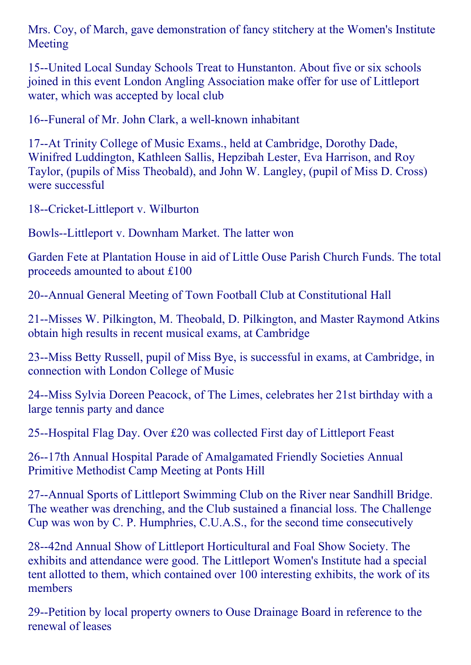Mrs. Coy, of March, gave demonstration of fancy stitchery at the Women's Institute Meeting

15--United Local Sunday Schools Treat to Hunstanton. About five or six schools joined in this event London Angling Association make offer for use of Littleport water, which was accepted by local club

16--Funeral of Mr. John Clark, a well-known inhabitant

17--At Trinity College of Music Exams., held at Cambridge, Dorothy Dade, Winifred Luddington, Kathleen Sallis, Hepzibah Lester, Eva Harrison, and Roy Taylor, (pupils of Miss Theobald), and John W. Langley, (pupil of Miss D. Cross) were successful

18--Cricket-Littleport v. Wilburton

Bowls--Littleport v. Downham Market. The latter won

Garden Fete at Plantation House in aid of Little Ouse Parish Church Funds. The total proceeds amounted to about £100

20--Annual General Meeting of Town Football Club at Constitutional Hall

21--Misses W. Pilkington, M. Theobald, D. Pilkington, and Master Raymond Atkins obtain high results in recent musical exams, at Cambridge

23--Miss Betty Russell, pupil of Miss Bye, is successful in exams, at Cambridge, in connection with London College of Music

24--Miss Sylvia Doreen Peacock, of The Limes, celebrates her 21st birthday with a large tennis party and dance

25--Hospital Flag Day. Over £20 was collected First day of Littleport Feast

26--17th Annual Hospital Parade of Amalgamated Friendly Societies Annual Primitive Methodist Camp Meeting at Ponts Hill

27--Annual Sports of Littleport Swimming Club on the River near Sandhill Bridge. The weather was drenching, and the Club sustained a financial loss. The Challenge Cup was won by C. P. Humphries, C.U.A.S., for the second time consecutively

28--42nd Annual Show of Littleport Horticultural and Foal Show Society. The exhibits and attendance were good. The Littleport Women's Institute had a special tent allotted to them, which contained over 100 interesting exhibits, the work of its members

29--Petition by local property owners to Ouse Drainage Board in reference to the renewal of leases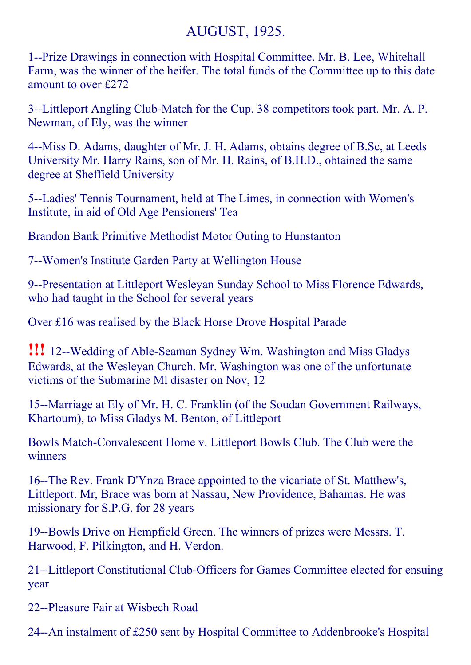# AUGUST, 1925.

1--Prize Drawings in connection with Hospital Committee. Mr. B. Lee, Whitehall Farm, was the winner of the heifer. The total funds of the Committee up to this date amount to over £272

3--Littleport Angling Club-Match for the Cup. 38 competitors took part. Mr. A. P. Newman, of Ely, was the winner

4--Miss D. Adams, daughter of Mr. J. H. Adams, obtains degree of B.Sc, at Leeds University Mr. Harry Rains, son of Mr. H. Rains, of B.H.D., obtained the same degree at Sheffield University

5--Ladies' Tennis Tournament, held at The Limes, in connection with Women's Institute, in aid of Old Age Pensioners' Tea

Brandon Bank Primitive Methodist Motor Outing to Hunstanton

7--Women's Institute Garden Party at Wellington House

9--Presentation at Littleport Wesleyan Sunday School to Miss Florence Edwards, who had taught in the School for several years

Over £16 was realised by the Black Horse Drove Hospital Parade

**!!!** 12--Wedding of Able-Seaman Sydney Wm. Washington and Miss Gladys Edwards, at the Wesleyan Church. Mr. Washington was one of the unfortunate victims of the Submarine Ml disaster on Nov, 12

15--Marriage at Ely of Mr. H. C. Franklin (of the Soudan Government Railways, Khartoum), to Miss Gladys M. Benton, of Littleport

Bowls Match-Convalescent Home v. Littleport Bowls Club. The Club were the winners

16--The Rev. Frank D'Ynza Brace appointed to the vicariate of St. Matthew's, Littleport. Mr, Brace was born at Nassau, New Providence, Bahamas. He was missionary for S.P.G. for 28 years

19--Bowls Drive on Hempfield Green. The winners of prizes were Messrs. T. Harwood, F. Pilkington, and H. Verdon.

21--Littleport Constitutional Club-Officers for Games Committee elected for ensuing year

22--Pleasure Fair at Wisbech Road

24--An instalment of £250 sent by Hospital Committee to Addenbrooke's Hospital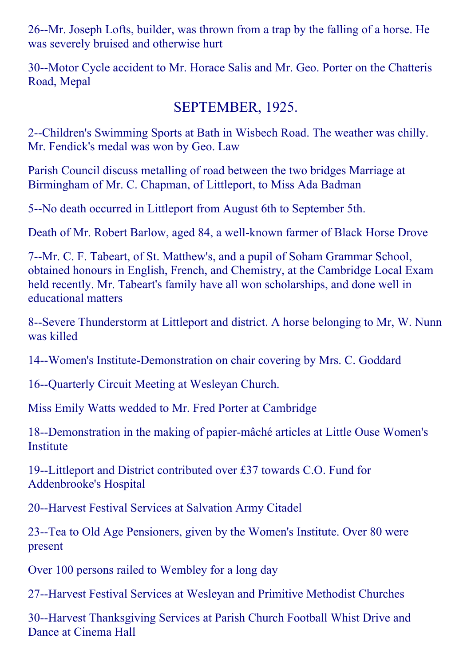26--Mr. Joseph Lofts, builder, was thrown from a trap by the falling of a horse. He was severely bruised and otherwise hurt

30--Motor Cycle accident to Mr. Horace Salis and Mr. Geo. Porter on the Chatteris Road, Mepal

#### SEPTEMBER, 1925.

2--Children's Swimming Sports at Bath in Wisbech Road. The weather was chilly. Mr. Fendick's medal was won by Geo. Law

Parish Council discuss metalling of road between the two bridges Marriage at Birmingham of Mr. C. Chapman, of Littleport, to Miss Ada Badman

5--No death occurred in Littleport from August 6th to September 5th.

Death of Mr. Robert Barlow, aged 84, a well-known farmer of Black Horse Drove

7--Mr. C. F. Tabeart, of St. Matthew's, and a pupil of Soham Grammar School, obtained honours in English, French, and Chemistry, at the Cambridge Local Exam held recently. Mr. Tabeart's family have all won scholarships, and done well in educational matters

8--Severe Thunderstorm at Littleport and district. A horse belonging to Mr, W. Nunn was killed

14--Women's Institute-Demonstration on chair covering by Mrs. C. Goddard

16--Quarterly Circuit Meeting at Wesleyan Church.

Miss Emily Watts wedded to Mr. Fred Porter at Cambridge

18--Demonstration in the making of papier-mâché articles at Little Ouse Women's **Institute** 

19--Littleport and District contributed over £37 towards C.O. Fund for Addenbrooke's Hospital

20--Harvest Festival Services at Salvation Army Citadel

23--Tea to Old Age Pensioners, given by the Women's Institute. Over 80 were present

Over 100 persons railed to Wembley for a long day

27--Harvest Festival Services at Wesleyan and Primitive Methodist Churches

30--Harvest Thanksgiving Services at Parish Church Football Whist Drive and Dance at Cinema Hall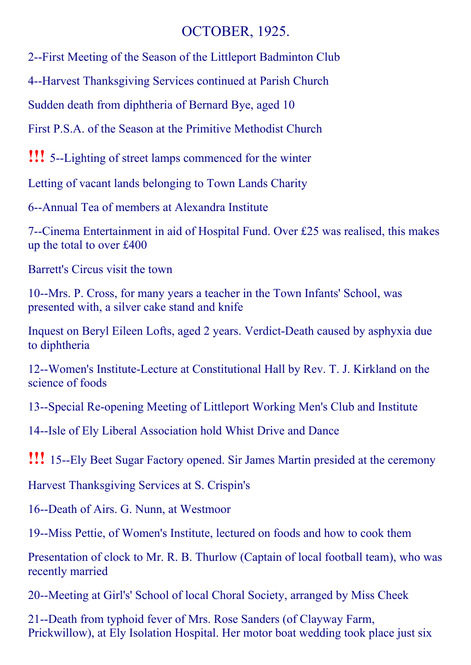## OCTOBER, 1925.

2--First Meeting of the Season of the Littleport Badminton Club

4--Harvest Thanksgiving Services continued at Parish Church

Sudden death from diphtheria of Bernard Bye, aged 10

First P.S.A. of the Season at the Primitive Methodist Church

**!!!** 5--Lighting of street lamps commenced for the winter

Letting of vacant lands belonging to Town Lands Charity

6--Annual Tea of members at Alexandra Institute

7--Cinema Entertainment in aid of Hospital Fund. Over £25 was realised, this makes up the total to over £400

Barrett's Circus visit the town

10--Mrs. P. Cross, for many years a teacher in the Town Infants' School, was presented with, a silver cake stand and knife

Inquest on Beryl Eileen Lofts, aged 2 years. Verdict-Death caused by asphyxia due to diphtheria

12--Women's Institute-Lecture at Constitutional Hall by Rev. T. J. Kirkland on the science of foods

13--Special Re-opening Meeting of Littleport Working Men's Club and Institute

14--Isle of Ely Liberal Association hold Whist Drive and Dance

**!!!** 15--Ely Beet Sugar Factory opened. Sir James Martin presided at the ceremony

Harvest Thanksgiving Services at S. Crispin's

16--Death of Airs. G. Nunn, at Westmoor

19--Miss Pettie, of Women's Institute, lectured on foods and how to cook them

Presentation of clock to Mr. R. B. Thurlow (Captain of local football team), who was recently married

20--Meeting at Girl's' School of local Choral Society, arranged by Miss Cheek

21--Death from typhoid fever of Mrs. Rose Sanders (of Clayway Farm, Prickwillow), at Ely Isolation Hospital. Her motor boat wedding took place just six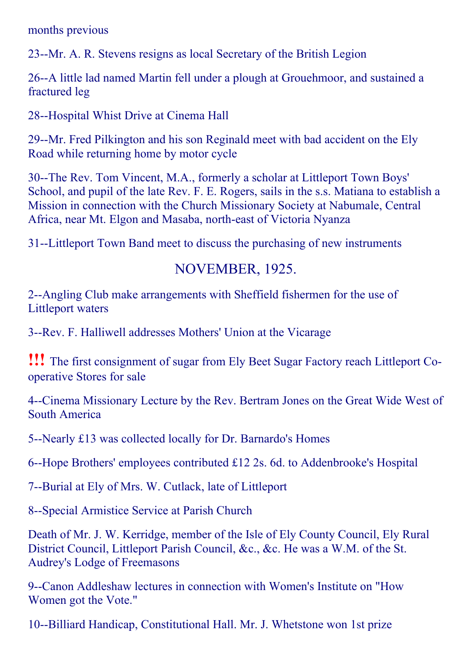months previous

23--Mr. A. R. Stevens resigns as local Secretary of the British Legion

26--A little lad named Martin fell under a plough at Grouehmoor, and sustained a fractured leg

28--Hospital Whist Drive at Cinema Hall

29--Mr. Fred Pilkington and his son Reginald meet with bad accident on the Ely Road while returning home by motor cycle

30--The Rev. Tom Vincent, M.A., formerly a scholar at Littleport Town Boys' School, and pupil of the late Rev. F. E. Rogers, sails in the s.s. Matiana to establish a Mission in connection with the Church Missionary Society at Nabumale, Central Africa, near Mt. Elgon and Masaba, north-east of Victoria Nyanza

31--Littleport Town Band meet to discuss the purchasing of new instruments

# NOVEMBER, 1925.

2--Angling Club make arrangements with Sheffield fishermen for the use of Littleport waters

3--Rev. F. Halliwell addresses Mothers' Union at the Vicarage

!!! The first consignment of sugar from Ely Beet Sugar Factory reach Littleport Cooperative Stores for sale

4--Cinema Missionary Lecture by the Rev. Bertram Jones on the Great Wide West of South America

5--Nearly £13 was collected locally for Dr. Barnardo's Homes

6--Hope Brothers' employees contributed  $£12$  2s. 6d. to Addenbrooke's Hospital

7--Burial at Ely of Mrs. W. Cutlack, late of Littleport

8--Special Armistice Service at Parish Church

Death of Mr. J. W. Kerridge, member of the Isle of Ely County Council, Ely Rural District Council, Littleport Parish Council, &c., &c. He was a W.M. of the St. Audrey's Lodge of Freemasons

9--Canon Addleshaw lectures in connection with Women's Institute on "How" Women got the Vote."

10--Billiard Handicap, Constitutional Hall. Mr. J. Whetstone won 1st prize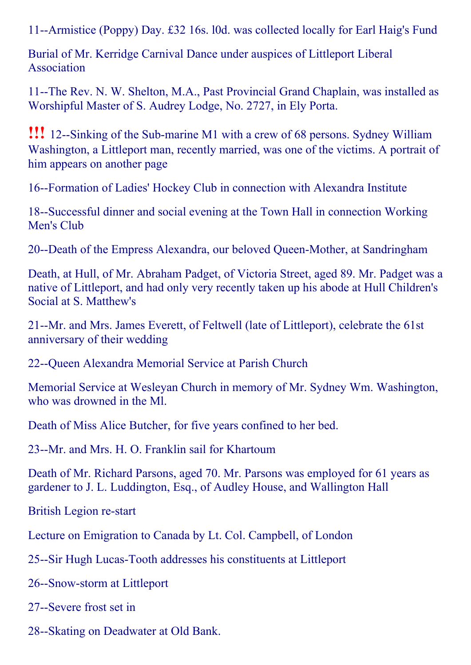11--Armistice (Poppy) Day. £32 16s. 10d. was collected locally for Earl Haig's Fund

Burial of Mr. Kerridge Carnival Dance under auspices of Littleport Liberal Association

11--The Rev. N. W. Shelton, M.A., Past Provincial Grand Chaplain, was installed as Worshipful Master of S. Audrey Lodge, No. 2727, in Ely Porta.

**!!!** 12--Sinking of the Sub-marine M1 with a crew of 68 persons. Sydney William Washington, a Littleport man, recently married, was one of the victims. A portrait of him appears on another page

16--Formation of Ladies' Hockey Club in connection with Alexandra Institute

18--Successful dinner and social evening at the Town Hall in connection Working Men's Club

20--Death of the Empress Alexandra, our beloved Queen-Mother, at Sandringham

Death, at Hull, of Mr. Abraham Padget, of Victoria Street, aged 89. Mr. Padget was a native of Littleport, and had only very recently taken up his abode at Hull Children's Social at S. Matthew's

21--Mr. and Mrs. James Everett, of Feltwell (late of Littleport), celebrate the 61st anniversary of their wedding

22--Queen Alexandra Memorial Service at Parish Church

Memorial Service at Wesleyan Church in memory of Mr. Sydney Wm. Washington, who was drowned in the Ml.

Death of Miss Alice Butcher, for five years confined to her bed.

23--Mr. and Mrs. H. O. Franklin sail for Khartoum

Death of Mr. Richard Parsons, aged 70. Mr. Parsons was employed for 61 years as gardener to J. L. Luddington, Esq., of Audley House, and Wallington Hall

British Legion re-start

Lecture on Emigration to Canada by Lt. Col. Campbell, of London

25-Sir Hugh Lucas-Tooth addresses his constituents at Littleport

26--Snow-storm at Littleport

27--Severe frost set in

28--Skating on Deadwater at Old Bank.